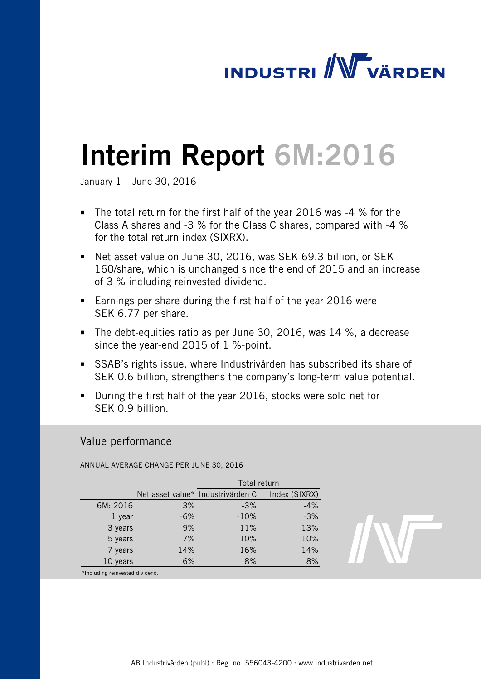# **INDUSTRI / WWW VÄRDEN**

# Interim Report 6M:2016

January 1 – June 30, 2016

- The total return for the first half of the year 2016 was -4 % for the Class A shares and -3 % for the Class C shares, compared with -4 % for the total return index (SIXRX).
- Net asset value on June 30, 2016, was SEK 69.3 billion, or SEK 160/share, which is unchanged since the end of 2015 and an increase of 3 % including reinvested dividend.
- **Earnings per share during the first half of the year 2016 were** SEK 6.77 per share.
- The debt-equities ratio as per June 30, 2016, was 14 %, a decrease since the year-end 2015 of 1 %-point.
- SSAB's rights issue, where Industrivärden has subscribed its share of SEK 0.6 billion, strengthens the company's long-term value potential.
- During the first half of the year 2016, stocks were sold net for SFK 0.9 billion

# Value performance

ANNUAL AVERAGE CHANGE PER JUNE 30, 2016

|          |       | Total return                      |               |  |  |
|----------|-------|-----------------------------------|---------------|--|--|
|          |       | Net asset value* Industrivärden C | Index (SIXRX) |  |  |
| 6M: 2016 | 3%    | $-3%$                             | $-4%$         |  |  |
| 1 year   | $-6%$ | $-10%$                            | $-3%$         |  |  |
| 3 years  | 9%    | 11%                               | 13%           |  |  |
| 5 years  | 7%    | 10%                               | 10%           |  |  |
| 7 years  | 14%   | 16%                               | 14%           |  |  |
| 10 years | 6%    | 8%                                | 8%            |  |  |
|          |       |                                   |               |  |  |



\*Including reinvested dividend.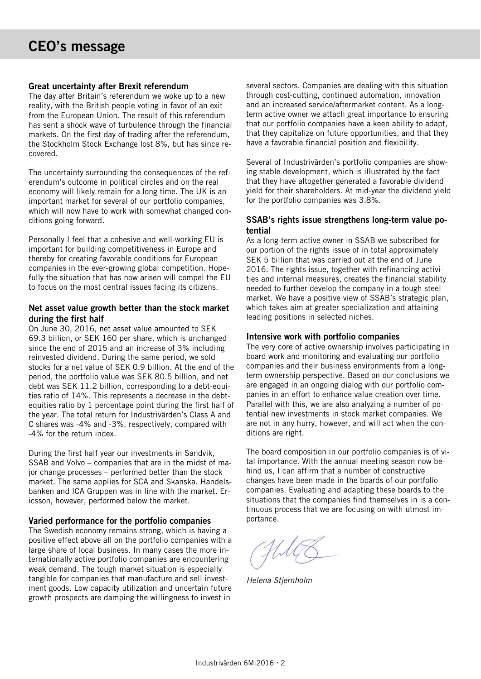# Great uncertainty after Brexit referendum

The day after Britain's referendum we woke up to a new reality, with the British people voting in favor of an exit from the European Union. The result of this referendum has sent a shock wave of turbulence through the financial markets. On the first day of trading after the referendum, the Stockholm Stock Exchange lost 8%, but has since recovered.

The uncertainty surrounding the consequences of the referendum's outcome in political circles and on the real economy will likely remain for a long time. The UK is an important market for several of our portfolio companies, which will now have to work with somewhat changed conditions going forward.

Personally I feel that a cohesive and well-working EU is important for building competitiveness in Europe and thereby for creating favorable conditions for European companies in the ever-growing global competition. Hopefully the situation that has now arisen will compel the EU to focus on the most central issues facing its citizens.

# Net asset value growth better than the stock market during the first half

On June 30, 2016, net asset value amounted to SEK 69.3 billion, or SEK 160 per share, which is unchanged since the end of 2015 and an increase of 3% including reinvested dividend. During the same period, we sold stocks for a net value of SEK 0.9 billion. At the end of the period, the portfolio value was SEK 80.5 billion, and net debt was SEK 11.2 billion, corresponding to a debt-equities ratio of 14%. This represents a decrease in the debtequities ratio by 1 percentage point during the first half of the year. The total return for Industrivärden's Class A and C shares was -4% and -3%, respectively, compared with -4% for the return index.

During the first half year our investments in Sandvik, SSAB and Volvo – companies that are in the midst of major change processes – performed better than the stock market. The same applies for SCA and Skanska. Handelsbanken and ICA Gruppen was in line with the market. Ericsson, however, performed below the market.

# Varied performance for the portfolio companies

The Swedish economy remains strong, which is having a positive effect above all on the portfolio companies with a large share of local business. In many cases the more internationally active portfolio companies are encountering weak demand. The tough market situation is especially tangible for companies that manufacture and sell investment goods. Low capacity utilization and uncertain future growth prospects are damping the willingness to invest in

several sectors. Companies are dealing with this situation through cost-cutting, continued automation, innovation and an increased service/aftermarket content. As a longterm active owner we attach great importance to ensuring that our portfolio companies have a keen ability to adapt, that they capitalize on future opportunities, and that they have a favorable financial position and flexibility.

Several of Industrivärden's portfolio companies are showing stable development, which is illustrated by the fact that they have altogether generated a favorable dividend yield for their shareholders. At mid-year the dividend yield for the portfolio companies was 3.8%.

# SSAB's rights issue strengthens long-term value potential

As a long-term active owner in SSAB we subscribed for our portion of the rights issue of in total approximately SEK 5 billion that was carried out at the end of June 2016. The rights issue, together with refinancing activities and internal measures, creates the financial stability needed to further develop the company in a tough steel market. We have a positive view of SSAB's strategic plan, which takes aim at greater specialization and attaining leading positions in selected niches.

# Intensive work with portfolio companies

The very core of active ownership involves participating in board work and monitoring and evaluating our portfolio companies and their business environments from a longterm ownership perspective. Based on our conclusions we are engaged in an ongoing dialog with our portfolio companies in an effort to enhance value creation over time. Parallel with this, we are also analyzing a number of potential new investments in stock market companies. We are not in any hurry, however, and will act when the conditions are right.

The board composition in our portfolio companies is of vital importance. With the annual meeting season now behind us, I can affirm that a number of constructive changes have been made in the boards of our portfolio companies. Evaluating and adapting these boards to the situations that the companies find themselves in is a continuous process that we are focusing on with utmost importance.

*Helena Stjernholm*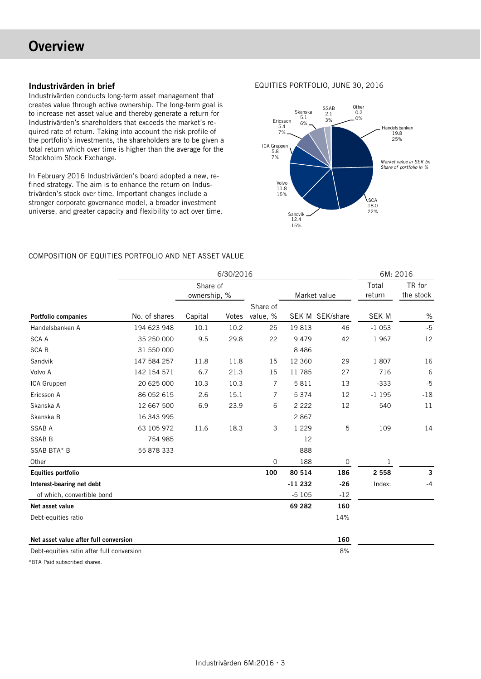# **Overview**

# Industrivärden in brief

Industrivärden conducts long-term asset management that creates value through active ownership. The long-term goal is to increase net asset value and thereby generate a return for Industrivärden's shareholders that exceeds the market's required rate of return. Taking into account the risk profile of the portfolio's investments, the shareholders are to be given a total return which over time is higher than the average for the Stockholm Stock Exchange.

In February 2016 Industrivärden's board adopted a new, refined strategy. The aim is to enhance the return on Industrivärden's stock over time. Important changes include a stronger corporate governance model, a broader investment universe, and greater capacity and flexibility to act over time.

# EQUITIES PORTFOLIO, JUNE 30, 2016



# COMPOSITION OF EQUITIES PORTFOLIO AND NET ASSET VALUE

|                                           | 6/30/2016     |                          |       |             |          | 6M: 2016        |                 |                     |
|-------------------------------------------|---------------|--------------------------|-------|-------------|----------|-----------------|-----------------|---------------------|
|                                           |               | Share of<br>ownership, % |       |             |          | Market value    | Total<br>return | TR for<br>the stock |
|                                           |               |                          |       | Share of    |          |                 |                 |                     |
| <b>Portfolio companies</b>                | No. of shares | Capital                  | Votes | value, %    |          | SEK M SEK/share | <b>SEK M</b>    | %                   |
| Handelsbanken A                           | 194 623 948   | 10.1                     | 10.2  | 25          | 19813    | 46              | $-1053$         | $-5$                |
| <b>SCA A</b>                              | 35 250 000    | 9.5                      | 29.8  | 22          | 9479     | 42              | 1967            | 12                  |
| <b>SCAB</b>                               | 31 550 000    |                          |       |             | 8486     |                 |                 |                     |
| Sandvik                                   | 147 584 257   | 11.8                     | 11.8  | 15          | 12 3 6 0 | 29              | 1807            | 16                  |
| Volvo A                                   | 142 154 571   | 6.7                      | 21.3  | 15          | 11 785   | 27              | 716             | 6                   |
| ICA Gruppen                               | 20 625 000    | 10.3                     | 10.3  | 7           | 5811     | 13              | $-333$          | $-5$                |
| Ericsson A                                | 86 052 615    | 2.6                      | 15.1  | 7           | 5 3 7 4  | 12              | $-1195$         | $-18$               |
| Skanska A                                 | 12 667 500    | 6.9                      | 23.9  | 6           | 2 2 2 2  | 12              | 540             | 11                  |
| Skanska B                                 | 16 343 995    |                          |       |             | 2867     |                 |                 |                     |
| <b>SSAB A</b>                             | 63 105 972    | 11.6                     | 18.3  | 3           | 1 2 2 9  | 5               | 109             | 14                  |
| <b>SSAB B</b>                             | 754 985       |                          |       |             | 12       |                 |                 |                     |
| SSAB BTA* B                               | 55 878 333    |                          |       |             | 888      |                 |                 |                     |
| Other                                     |               |                          |       | $\mathbf 0$ | 188      | 0               | $\mathbf 1$     |                     |
| <b>Equities portfolio</b>                 |               |                          |       | 100         | 80 514   | 186             | 2 5 5 8         | 3                   |
| Interest-bearing net debt                 |               |                          |       |             | $-11232$ | $-26$           | Index:          | $-4$                |
| of which, convertible bond                |               |                          |       |             | $-5105$  | $-12$           |                 |                     |
| Net asset value                           |               |                          |       |             | 69 282   | 160             |                 |                     |
| Debt-equities ratio                       |               |                          |       |             |          | 14%             |                 |                     |
| Net asset value after full conversion     |               |                          |       |             |          | 160             |                 |                     |
| Debt-equities ratio after full conversion |               |                          |       |             |          | 8%              |                 |                     |

\*BTA Paid subscribed shares.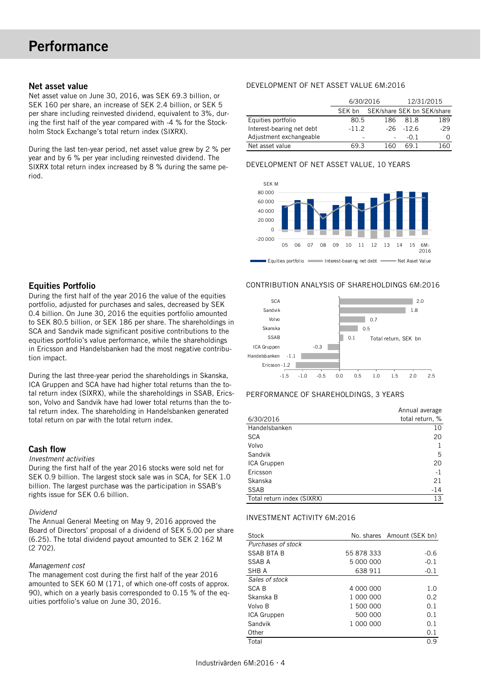# Net asset value

Net asset value on June 30, 2016, was SEK 69.3 billion, or SEK 160 per share, an increase of SEK 2.4 billion, or SEK 5 per share including reinvested dividend, equivalent to 3%, during the first half of the year compared with -4 % for the Stockholm Stock Exchange's total return index (SIXRX).

During the last ten-year period, net asset value grew by 2 % per year and by 6 % per year including reinvested dividend. The SIXRX total return index increased by 8 % during the same period.

# DEVELOPMENT OF NET ASSET VALUE 6M:2016

|                           | 6/30/2016 |     | 12/31/2015   |                            |  |
|---------------------------|-----------|-----|--------------|----------------------------|--|
|                           | SFK bn    |     |              | SEK/share SEK bn SEK/share |  |
| Equities portfolio        | 80.5      | 186 | 81.8         | 189                        |  |
| Interest-bearing net debt | $-11.2$   |     | $-26 - 12.6$ | $-29$                      |  |
| Adjustment exchangeable   | -         |     | $-0.1$       |                            |  |
| Net asset value           | 69 3      |     | 69 1         | 160                        |  |

#### DEVELOPMENT OF NET ASSET VALUE, 10 YEARS



#### CONTRIBUTION ANALYSIS OF SHAREHOLDINGS 6M:2016



# PERFORMANCE OF SHAREHOLDINGS, 3 YEARS

|                            | Annual average  |
|----------------------------|-----------------|
| 6/30/2016                  | total return, % |
| Handelsbanken              | 10              |
| <b>SCA</b>                 | 20              |
| Volvo                      |                 |
| Sandvik                    | 5               |
| ICA Gruppen                | 20              |
| Ericsson                   | $-1$            |
| Skanska                    | 21              |
| <b>SSAB</b>                | $-14$           |
| Total return index (SIXRX) | 13              |

#### INVESTMENT ACTIVITY 6M:2016

| Stock              |            | No. shares Amount (SEK bn) |
|--------------------|------------|----------------------------|
| Purchases of stock |            |                            |
| SSAB BTA B         | 55 878 333 | $-0.6$                     |
| SSAB A             | 5 000 000  | $-0.1$                     |
| SHB A              | 638 911    | $-0.1$                     |
| Sales of stock     |            |                            |
| <b>SCA B</b>       | 4 000 000  | 1.0                        |
| Skanska B          | 1 000 000  | 0.2                        |
| Volvo B            | 1 500 000  | 0.1                        |
| ICA Gruppen        | 500 000    | 0.1                        |
| Sandvik            | 1 000 000  | 0.1                        |
| Other              |            | 0.1                        |
| Total              |            | 0.9                        |

# Equities Portfolio

During the first half of the year 2016 the value of the equities portfolio, adjusted for purchases and sales, decreased by SEK 0.4 billion. On June 30, 2016 the equities portfolio amounted to SEK 80.5 billion, or SEK 186 per share. The shareholdings in SCA and Sandvik made significant positive contributions to the equities portfolio's value performance, while the shareholdings in Ericsson and Handelsbanken had the most negative contribution impact.

During the last three-year period the shareholdings in Skanska, ICA Gruppen and SCA have had higher total returns than the total return index (SIXRX), while the shareholdings in SSAB, Ericsson, Volvo and Sandvik have had lower total returns than the total return index. The shareholding in Handelsbanken generated total return on par with the total return index.

# Cash flow

#### *Investment activities*

During the first half of the year 2016 stocks were sold net for SEK 0.9 billion. The largest stock sale was in SCA, for SEK 1.0 billion. The largest purchase was the participation in SSAB's rights issue for SEK 0.6 billion.

#### *Dividend*

The Annual General Meeting on May 9, 2016 approved the Board of Directors' proposal of a dividend of SEK 5.00 per share (6.25). The total dividend payout amounted to SEK 2 162 M (2 702).

#### *Management cost*

The management cost during the first half of the year 2016 amounted to SEK 60 M (171, of which one-off costs of approx. 90), which on a yearly basis corresponded to 0.15 % of the equities portfolio's value on June 30, 2016.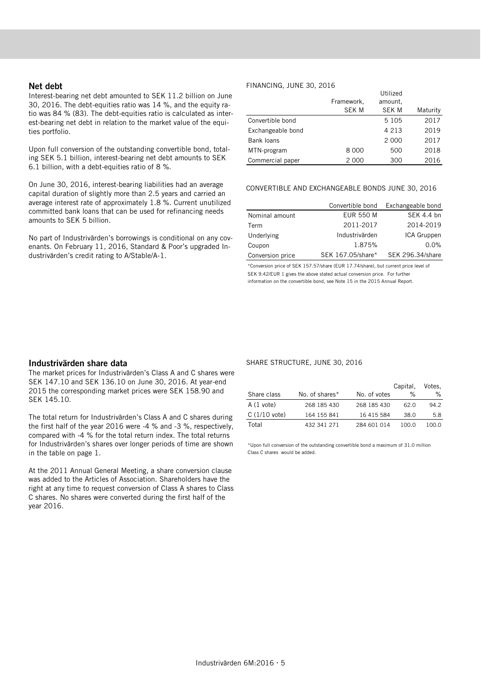# Net debt

Interest-bearing net debt amounted to SEK 11.2 billion on June 30, 2016. The debt-equities ratio was 14 %, and the equity ratio was 84 % (83). The debt-equities ratio is calculated as interest-bearing net debt in relation to the market value of the equities portfolio.

Upon full conversion of the outstanding convertible bond, totaling SEK 5.1 billion, interest-bearing net debt amounts to SEK 6.1 billion, with a debt-equities ratio of 8 %.

On June 30, 2016, interest-bearing liabilities had an average capital duration of slightly more than 2.5 years and carried an average interest rate of approximately 1.8 %. Current unutilized committed bank loans that can be used for refinancing needs amounts to SEK 5 billion.

No part of Industrivärden's borrowings is conditional on any covenants. On February 11, 2016, Standard & Poor's upgraded Industrivärden's credit rating to A/Stable/A-1.

#### FINANCING, JUNE 30, 2016

|                   | Framework,<br><b>SEK M</b> | Utilized<br>amount.<br><b>SEK M</b> | Maturity |
|-------------------|----------------------------|-------------------------------------|----------|
| Convertible bond  |                            | 5 1 0 5                             | 2017     |
| Exchangeable bond |                            | 4 2 1 3                             | 2019     |
| Bank loans        |                            | 2 0 0 0                             | 2017     |
| MTN-program       | 8 0 0 0                    | 500                                 | 2018     |
| Commercial paper  | 2 0 0 0                    | 300                                 | 2016     |

#### CONVERTIBLE AND EXCHANGEABLE BONDS JUNE 30, 2016

|                  | Convertible bond  | Exchangeable bond |
|------------------|-------------------|-------------------|
| Nominal amount   | <b>EUR 550 M</b>  | SEK 4.4 bn        |
| Term             | 2011-2017         | 2014-2019         |
| Underlying       | Industrivärden    | ICA Gruppen       |
| Coupon           | 1.875%            | $0.0\%$           |
| Conversion price | SEK 167.05/share* | SEK 296.34/share  |

\*Conversion price of SEK 157.57/share (EUR 17.74/share), but current price level of SEK 9.42/EUR 1 gives the above stated actual conversion price. For further information on the convertible bond, see Note 15 in the 2015 Annual Report.

# Industrivärden share data

The market prices for Industrivärden's Class A and C shares were SEK 147.10 and SEK 136.10 on June 30, 2016. At year-end 2015 the corresponding market prices were SEK 158.90 and SEK 145.10.

The total return for Industrivärden's Class A and C shares during the first half of the year 2016 were -4 % and -3 %, respectively, compared with -4 % for the total return index. The total returns for Industrivärden's shares over longer periods of time are shown in the table on page 1.

At the 2011 Annual General Meeting, a share conversion clause was added to the Articles of Association. Shareholders have the right at any time to request conversion of Class A shares to Class C shares. No shares were converted during the first half of the year 2016.

#### SHARE STRUCTURE, JUNE 30, 2016

|                        |                |              | Capital. | Votes. |
|------------------------|----------------|--------------|----------|--------|
| Share class            | No. of shares* | No. of votes | ℅        | %      |
| $A(1 \text{ vote})$    | 268 185 430    | 268 185 430  | 62.O     | 94.2   |
| $C(1/10 \text{ vote})$ | 164 155 841    | 16 415 584   | 38.0     | 5.8    |
| Total                  | 432 341 271    | 284 601 014  | 100.O    | 100.O  |

\*Upon full conversion of the outstanding convertible bond a maximum of 31.0 million Class C shares would be added.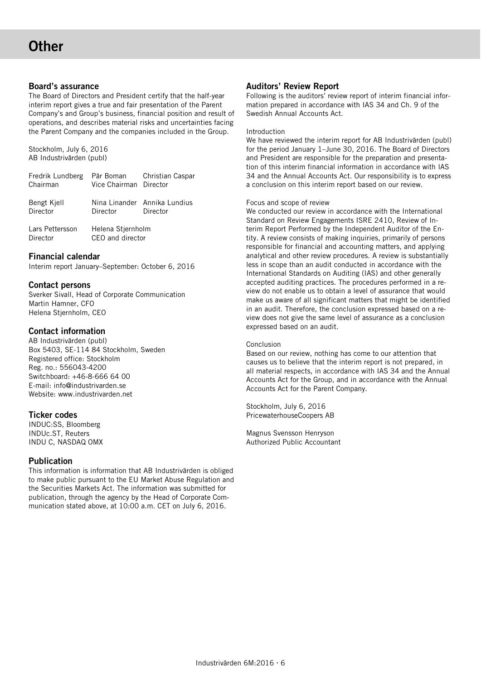# Board's assurance

The Board of Directors and President certify that the half-year interim report gives a true and fair presentation of the Parent Company's and Group's business, financial position and result of operations, and describes material risks and uncertainties facing the Parent Company and the companies included in the Group.

Stockholm, July 6, 2016 AB Industrivärden (publ)

| Fredrik Lundberg<br>Chairman | Vice Chairman Director                | Pär Boman Christian Caspar               |
|------------------------------|---------------------------------------|------------------------------------------|
| Bengt Kjell<br>Director      | Director                              | Nina Linander Annika Lundius<br>Director |
| Lars Pettersson<br>Director  | Helena Stjernholm<br>CEO and director |                                          |

# Financial calendar

Interim report January–September: October 6, 2016

# Contact persons

Sverker Sivall, Head of Corporate Communication Martin Hamner, CFO Helena Stjernholm, CEO

# Contact information

AB Industrivärden (publ) Box 5403, SE-114 84 Stockholm, Sweden Registered office: Stockholm Reg. no.: 556043-4200 Switchboard: +46-8-666 64 00 E-mail: info@industrivarden.se Website: www.industrivarden.net

# Ticker codes

INDUC:SS, Bloomberg INDUc.ST, Reuters INDU C, NASDAQ OMX

# Publication

This information is information that AB Industrivärden is obliged to make public pursuant to the EU Market Abuse Regulation and the Securities Markets Act. The information was submitted for publication, through the agency by the Head of Corporate Communication stated above, at 10:00 a.m. CET on July 6, 2016.

# Auditors' Review Report

Following is the auditors' review report of interim financial information prepared in accordance with IAS 34 and Ch. 9 of the Swedish Annual Accounts Act.

#### Introduction

We have reviewed the interim report for AB Industrivärden (publ) for the period January 1–June 30, 2016. The Board of Directors and President are responsible for the preparation and presentation of this interim financial information in accordance with IAS 34 and the Annual Accounts Act. Our responsibility is to express a conclusion on this interim report based on our review.

#### Focus and scope of review

We conducted our review in accordance with the International Standard on Review Engagements ISRE 2410, Review of Interim Report Performed by the Independent Auditor of the Entity. A review consists of making inquiries, primarily of persons responsible for financial and accounting matters, and applying analytical and other review procedures. A review is substantially less in scope than an audit conducted in accordance with the International Standards on Auditing (IAS) and other generally accepted auditing practices. The procedures performed in a review do not enable us to obtain a level of assurance that would make us aware of all significant matters that might be identified in an audit. Therefore, the conclusion expressed based on a review does not give the same level of assurance as a conclusion expressed based on an audit.

# Conclusion

Based on our review, nothing has come to our attention that causes us to believe that the interim report is not prepared, in all material respects, in accordance with IAS 34 and the Annual Accounts Act for the Group, and in accordance with the Annual Accounts Act for the Parent Company.

Stockholm, July 6, 2016 PricewaterhouseCoopers AB

Magnus Svensson Henryson Authorized Public Accountant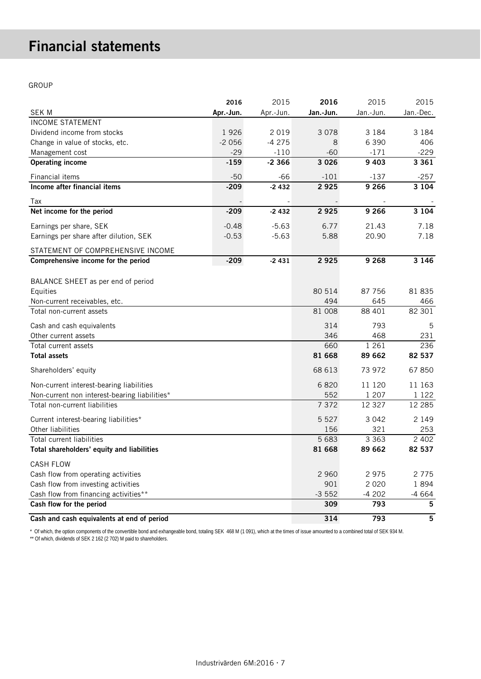# Financial statements

GROUP

|                                               | 2016      | 2015      | 2016      | 2015      | 2015      |
|-----------------------------------------------|-----------|-----------|-----------|-----------|-----------|
| <b>SEK M</b>                                  | Apr.-Jun. | Apr.-Jun. | Jan.-Jun. | Jan.-Jun. | Jan.-Dec. |
| <b>INCOME STATEMENT</b>                       |           |           |           |           |           |
| Dividend income from stocks                   | 1926      | 2019      | 3078      | 3 1 8 4   | 3 1 8 4   |
| Change in value of stocks, etc.               | $-2056$   | $-4275$   | 8         | 6 3 9 0   | 406       |
| Management cost                               | $-29$     | $-110$    | $-60$     | $-171$    | $-229$    |
| <b>Operating income</b>                       | $-159$    | $-2366$   | 3 0 2 6   | 9 4 0 3   | 3 3 6 1   |
| Financial items                               | $-50$     | $-66$     | $-101$    | $-137$    | $-257$    |
| Income after financial items                  | $-209$    | $-2432$   | 2925      | 9 2 6 6   | 3 1 0 4   |
| Tax                                           |           |           |           |           |           |
| Net income for the period                     | -209      | $-2432$   | 2925      | 9 2 6 6   | 3 1 0 4   |
| Earnings per share, SEK                       | $-0.48$   | $-5.63$   | 6.77      | 21.43     | 7.18      |
| Earnings per share after dilution, SEK        | $-0.53$   | $-5.63$   | 5.88      | 20.90     | 7.18      |
| STATEMENT OF COMPREHENSIVE INCOME             |           |           |           |           |           |
| Comprehensive income for the period           | $-209$    | $-2431$   | 2925      | 9 2 6 8   | 3 1 4 6   |
|                                               |           |           |           |           |           |
| BALANCE SHEET as per end of period            |           |           |           |           |           |
| Equities                                      |           |           | 80 514    | 87 756    | 81 835    |
| Non-current receivables, etc.                 |           |           | 494       | 645       | 466       |
| Total non-current assets                      |           |           | 81 008    | 88 401    | 82 301    |
| Cash and cash equivalents                     |           |           | 314       | 793       | 5         |
| Other current assets                          |           |           | 346       | 468       | 231       |
| Total current assets                          |           |           | 660       | 1 2 6 1   | 236       |
| <b>Total assets</b>                           |           |           | 81 668    | 89 662    | 82 537    |
| Shareholders' equity                          |           |           | 68 613    | 73 972    | 67850     |
| Non-current interest-bearing liabilities      |           |           | 6820      | 11 120    | 11 163    |
| Non-current non interest-bearing liabilities* |           |           | 552       | 1 207     | 1 1 2 2   |
| Total non-current liabilities                 |           |           | 7 3 7 2   | 12 3 27   | 12 2 8 5  |
| Current interest-bearing liabilities*         |           |           | 5 5 2 7   | 3 0 4 2   | 2 1 4 9   |
| Other liabilities                             |           |           | 156       | 321       | 253       |
| Total current liabilities                     |           |           | 5 6 8 3   | 3 3 6 3   | 2 4 0 2   |
| Total shareholders' equity and liabilities    |           |           | 81 668    | 89 662    | 82 537    |
| <b>CASH FLOW</b>                              |           |           |           |           |           |
| Cash flow from operating activities           |           |           | 2 9 6 0   | 2975      | 2775      |
| Cash flow from investing activities           |           |           | 901       | 2 0 2 0   | 1894      |
| Cash flow from financing activities**         |           |           | $-3552$   | $-4202$   | $-4664$   |
| Cash flow for the period                      |           |           | 309       | 793       | 5         |
| Cash and cash equivalents at end of period    |           |           | 314       | 793       | 5         |

\* Of which, the option components of the convertible bond and exhangeable bond, totaling SEK 468 M (1 091), which at the times of issue amounted to a combined total of SEK 934 M. \*\* Of which, dividends of SEK 2 162 (2 702) M paid to shareholders.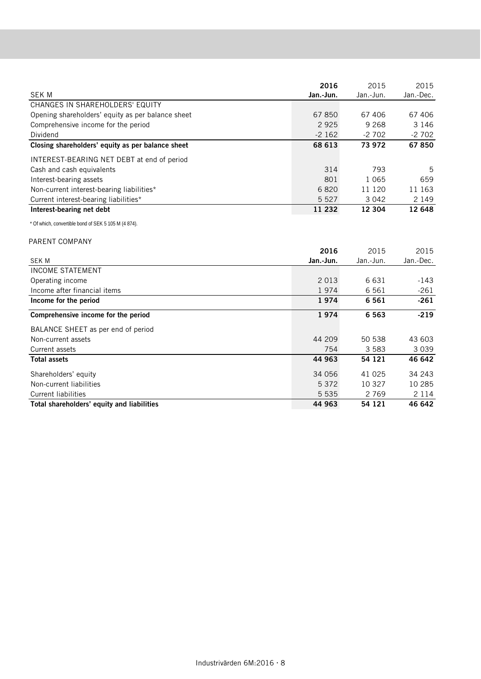|                                                   | 2016      | 2015      | 2015      |
|---------------------------------------------------|-----------|-----------|-----------|
| SEK M                                             | Jan.-Jun. | Jan.-Jun. | Jan.-Dec. |
| CHANGES IN SHAREHOLDERS' EQUITY                   |           |           |           |
| Opening shareholders' equity as per balance sheet | 67850     | 67 406    | 67 406    |
| Comprehensive income for the period               | 2925      | 9 2 6 8   | 3 1 4 6   |
| Dividend                                          | $-2162$   | $-2702$   | $-2702$   |
| Closing shareholders' equity as per balance sheet | 68 613    | 73 972    | 67 850    |
| INTEREST-BEARING NET DEBT at end of period        |           |           |           |
| Cash and cash equivalents                         | 314       | 793       | 5         |
| Interest-bearing assets                           | 801       | 1 0 6 5   | 659       |
| Non-current interest-bearing liabilities*         | 6820      | 11 120    | 11 163    |
| Current interest-bearing liabilities*             | 5 5 2 7   | 3 0 4 2   | 2 1 4 9   |
| Interest-bearing net debt                         | 11 232    | 12 304    | 12 648    |

\* Of which, convertible bond of SEK 5 105 M (4 874).

#### PARENT COMPANY

|                                            | 2016      | 2015      | 2015      |
|--------------------------------------------|-----------|-----------|-----------|
| SEK M                                      | Jan.-Jun. | Jan.-Jun. | Jan.-Dec. |
| <b>INCOME STATEMENT</b>                    |           |           |           |
| Operating income                           | 2 0 1 3   | 6631      | -143      |
| Income after financial items               | 1974      | 6 5 6 1   | $-261$    |
| Income for the period                      | 1974      | 6 5 6 1   | $-261$    |
| Comprehensive income for the period        | 1974      | 6 5 6 3   | $-219$    |
| BALANCE SHEET as per end of period         |           |           |           |
| Non-current assets                         | 44 209    | 50 538    | 43 603    |
| Current assets                             | 754       | 3 5 8 3   | 3 0 3 9   |
| <b>Total assets</b>                        | 44 963    | 54 121    | 46 642    |
| Shareholders' equity                       | 34 056    | 41 025    | 34 243    |
| Non-current liabilities                    | 5 3 7 2   | 10 327    | 10 285    |
| <b>Current liabilities</b>                 | 5 5 3 5   | 2769      | 2 1 1 4   |
| Total shareholders' equity and liabilities | 44 963    | 54 121    | 46 642    |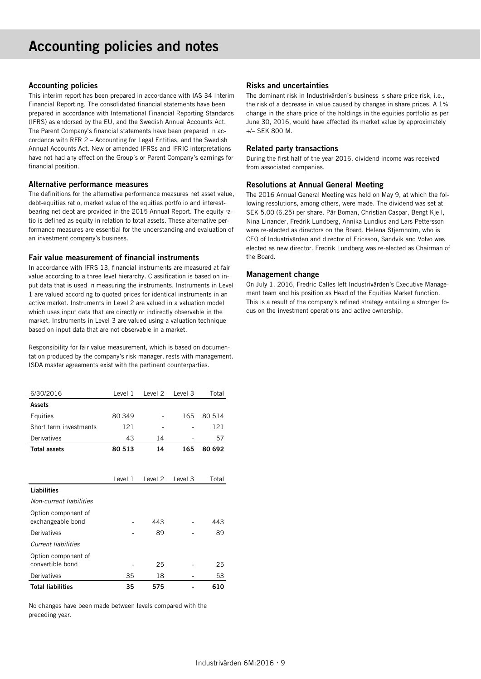# Accounting policies

This interim report has been prepared in accordance with IAS 34 Interim Financial Reporting. The consolidated financial statements have been prepared in accordance with International Financial Reporting Standards (IFRS) as endorsed by the EU, and the Swedish Annual Accounts Act. The Parent Company's financial statements have been prepared in accordance with RFR 2 – Accounting for Legal Entities, and the Swedish Annual Accounts Act. New or amended IFRSs and IFRIC interpretations have not had any effect on the Group's or Parent Company's earnings for financial position.

#### Alternative performance measures

The definitions for the alternative performance measures net asset value, debt-equities ratio, market value of the equities portfolio and interestbearing net debt are provided in the 2015 Annual Report. The equity ratio is defined as equity in relation to total assets. These alternative performance measures are essential for the understanding and evaluation of an investment company's business.

#### Fair value measurement of financial instruments

In accordance with IFRS 13, financial instruments are measured at fair value according to a three level hierarchy. Classification is based on input data that is used in measuring the instruments. Instruments in Level 1 are valued according to quoted prices for identical instruments in an active market. Instruments in Level 2 are valued in a valuation model which uses input data that are directly or indirectly observable in the market. Instruments in Level 3 are valued using a valuation technique based on input data that are not observable in a market.

Responsibility for fair value measurement, which is based on documentation produced by the company's risk manager, rests with management. ISDA master agreements exist with the pertinent counterparties.

| 6/30/2016                  | Level 1 | Level 2 | Level 3 | Total  |
|----------------------------|---------|---------|---------|--------|
| <b>Assets</b>              |         |         |         |        |
| Equities                   | 80 349  |         | 165     | 80 514 |
| Short term investments     | 121     |         |         | 121    |
| Derivatives                | 43      | 14      |         | 57     |
| <b>Total assets</b>        | 80 513  | 14      | 165     | 80 692 |
|                            |         |         |         |        |
|                            |         |         |         |        |
|                            | Level 1 | Level 2 | Level 3 | Total  |
| Liabilities                |         |         |         |        |
| Non-current liabilities    |         |         |         |        |
| Option component of        |         |         |         |        |
| exchangeable bond          |         | 443     |         | 443    |
| Derivatives                |         | 89      |         | 89     |
| <b>Current liabilities</b> |         |         |         |        |
| Option component of        |         |         |         |        |
| convertible bond           |         | 25      |         | 25     |
| Derivatives                | 35      | 18      |         | 53     |
| <b>Total liabilities</b>   | 35      | 575     |         | 610    |

No changes have been made between levels compared with the preceding year.

# Risks and uncertainties

The dominant risk in Industrivärden's business is share price risk, i.e., the risk of a decrease in value caused by changes in share prices. A 1% change in the share price of the holdings in the equities portfolio as per June 30, 2016, would have affected its market value by approximately +/– SEK 800 M.

# Related party transactions

During the first half of the year 2016, dividend income was received from associated companies.

# Resolutions at Annual General Meeting

The 2016 Annual General Meeting was held on May 9, at which the following resolutions, among others, were made. The dividend was set at SEK 5.00 (6.25) per share. Pär Boman, Christian Caspar, Bengt Kjell, Nina Linander, Fredrik Lundberg, Annika Lundius and Lars Pettersson were re-elected as directors on the Board. Helena Stjernholm, who is CEO of Industrivärden and director of Ericsson, Sandvik and Volvo was elected as new director. Fredrik Lundberg was re-elected as Chairman of the Board.

# Management change

On July 1, 2016, Fredric Calles left Industrivärden's Executive Management team and his position as Head of the Equities Market function. This is a result of the company's refined strategy entailing a stronger focus on the investment operations and active ownership.